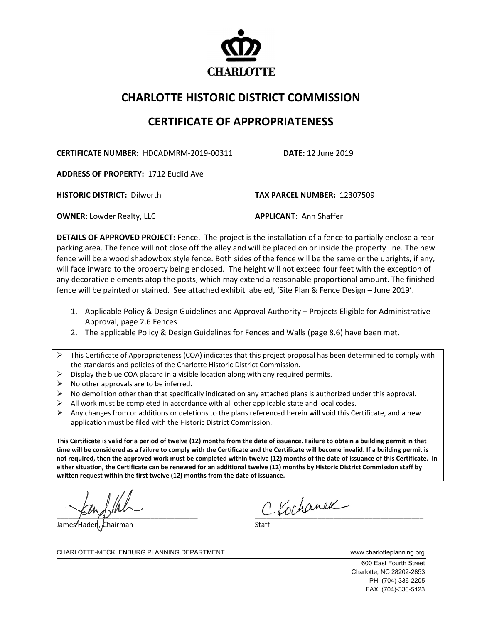

## **CHARLOTTE HISTORIC DISTRICT COMMISSION**

## **CERTIFICATE OF APPROPRIATENESS**

**CERTIFICATE NUMBER:** HDCADMRM-2019-00311 **DATE:** 12 June 2019

**ADDRESS OF PROPERTY:** 1712 Euclid Ave

**HISTORIC DISTRICT:** Dilworth **TAX PARCEL NUMBER:** 12307509

**OWNER:** Lowder Realty, LLC **APPLICANT:** Ann Shaffer

**DETAILS OF APPROVED PROJECT:** Fence. The project is the installation of a fence to partially enclose a rear parking area. The fence will not close off the alley and will be placed on or inside the property line. The new fence will be a wood shadowbox style fence. Both sides of the fence will be the same or the uprights, if any, will face inward to the property being enclosed. The height will not exceed four feet with the exception of any decorative elements atop the posts, which may extend a reasonable proportional amount. The finished fence will be painted or stained. See attached exhibit labeled, 'Site Plan & Fence Design – June 2019'.

- 1. Applicable Policy & Design Guidelines and Approval Authority Projects Eligible for Administrative Approval, page 2.6 Fences
- 2. The applicable Policy & Design Guidelines for Fences and Walls (page 8.6) have been met.
- $\triangleright$  This Certificate of Appropriateness (COA) indicates that this project proposal has been determined to comply with the standards and policies of the Charlotte Historic District Commission.
- $\triangleright$  Display the blue COA placard in a visible location along with any required permits.
- $\triangleright$  No other approvals are to be inferred.
- $\triangleright$  No demolition other than that specifically indicated on any attached plans is authorized under this approval.
- $\triangleright$  All work must be completed in accordance with all other applicable state and local codes.
- Any changes from or additions or deletions to the plans referenced herein will void this Certificate, and a new application must be filed with the Historic District Commission.

**This Certificate is valid for a period of twelve (12) months from the date of issuance. Failure to obtain a building permit in that time will be considered as a failure to comply with the Certificate and the Certificate will become invalid. If a building permit is not required, then the approved work must be completed within twelve (12) months of the date of issuance of this Certificate. In either situation, the Certificate can be renewed for an additional twelve (12) months by Historic District Commission staff by written request within the first twelve (12) months from the date of issuance.** 

James Haden, Chairman

 $c$  Kochanek

CHARLOTTE-MECKLENBURG PLANNING DEPARTMENT www.charlotteplanning.org

600 East Fourth Street Charlotte, NC 28202-2853 PH: (704)-336-2205 FAX: (704)-336-5123